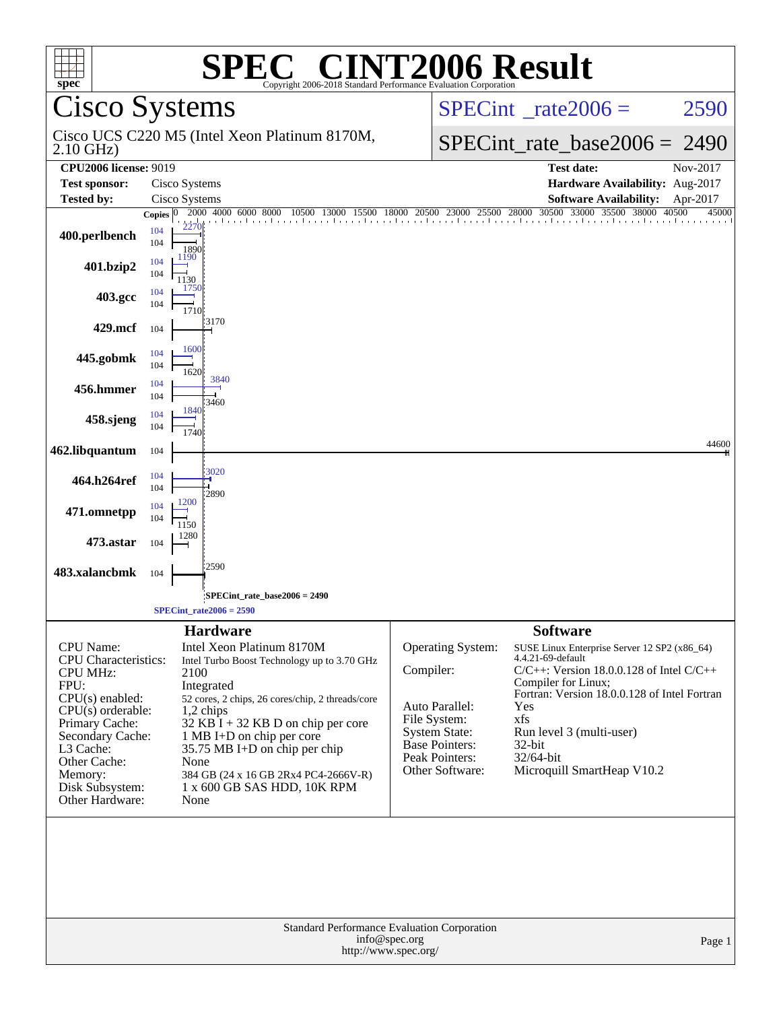| spec <sup>®</sup>                                                                                                                                                                                                                        | $\bigcap$ $\bigcap$<br>Copyright 2006-2018 Standard Performance Evaluation Corporation                                                                                                                                                                                                                                                                                        | <b>INT2006 Result</b>                                                                                                                                  |                                                                                                                                                                                                                                                                                                             |  |  |
|------------------------------------------------------------------------------------------------------------------------------------------------------------------------------------------------------------------------------------------|-------------------------------------------------------------------------------------------------------------------------------------------------------------------------------------------------------------------------------------------------------------------------------------------------------------------------------------------------------------------------------|--------------------------------------------------------------------------------------------------------------------------------------------------------|-------------------------------------------------------------------------------------------------------------------------------------------------------------------------------------------------------------------------------------------------------------------------------------------------------------|--|--|
|                                                                                                                                                                                                                                          | Cisco Systems                                                                                                                                                                                                                                                                                                                                                                 |                                                                                                                                                        | $SPECint^{\circ}$ rate $2006 =$<br>2590                                                                                                                                                                                                                                                                     |  |  |
| $2.10$ GHz)                                                                                                                                                                                                                              | Cisco UCS C220 M5 (Intel Xeon Platinum 8170M,                                                                                                                                                                                                                                                                                                                                 |                                                                                                                                                        | $SPECint_rate_base2006 =$<br>2490                                                                                                                                                                                                                                                                           |  |  |
| <b>CPU2006</b> license: 9019                                                                                                                                                                                                             |                                                                                                                                                                                                                                                                                                                                                                               |                                                                                                                                                        | <b>Test date:</b><br>Nov-2017                                                                                                                                                                                                                                                                               |  |  |
| <b>Test sponsor:</b>                                                                                                                                                                                                                     | Cisco Systems                                                                                                                                                                                                                                                                                                                                                                 |                                                                                                                                                        | Hardware Availability: Aug-2017                                                                                                                                                                                                                                                                             |  |  |
| <b>Tested by:</b>                                                                                                                                                                                                                        | Cisco Systems<br>4000 6000 8000<br>2000<br>15500<br>13000                                                                                                                                                                                                                                                                                                                     | 20500 23000 25500 28000 30500<br>18000                                                                                                                 | <b>Software Availability:</b><br>Apr-2017<br>33000<br>35500<br>38000<br>40500<br>45000                                                                                                                                                                                                                      |  |  |
| 400.perlbench                                                                                                                                                                                                                            | Copies $ 0 $<br>104<br>104<br>1890<br>1190<br>104                                                                                                                                                                                                                                                                                                                             |                                                                                                                                                        |                                                                                                                                                                                                                                                                                                             |  |  |
| 401.bzip2                                                                                                                                                                                                                                | 104<br>1130<br>1750<br>104                                                                                                                                                                                                                                                                                                                                                    |                                                                                                                                                        |                                                                                                                                                                                                                                                                                                             |  |  |
| 403.gcc                                                                                                                                                                                                                                  | 104<br>1710                                                                                                                                                                                                                                                                                                                                                                   |                                                                                                                                                        |                                                                                                                                                                                                                                                                                                             |  |  |
| 429.mcf                                                                                                                                                                                                                                  | 3170<br>104                                                                                                                                                                                                                                                                                                                                                                   |                                                                                                                                                        |                                                                                                                                                                                                                                                                                                             |  |  |
| 445.gobmk                                                                                                                                                                                                                                | 1600<br>104<br>104<br>1620                                                                                                                                                                                                                                                                                                                                                    |                                                                                                                                                        |                                                                                                                                                                                                                                                                                                             |  |  |
| 456.hmmer                                                                                                                                                                                                                                | 3840<br>104<br>104<br>3460                                                                                                                                                                                                                                                                                                                                                    |                                                                                                                                                        |                                                                                                                                                                                                                                                                                                             |  |  |
| 458.sjeng                                                                                                                                                                                                                                | 1840<br>104<br>104<br>1740                                                                                                                                                                                                                                                                                                                                                    |                                                                                                                                                        |                                                                                                                                                                                                                                                                                                             |  |  |
| 462.libquantum                                                                                                                                                                                                                           | 104                                                                                                                                                                                                                                                                                                                                                                           |                                                                                                                                                        | 44600                                                                                                                                                                                                                                                                                                       |  |  |
| 464.h264ref                                                                                                                                                                                                                              | 3020<br>104<br>104<br>2890                                                                                                                                                                                                                                                                                                                                                    |                                                                                                                                                        |                                                                                                                                                                                                                                                                                                             |  |  |
| 471.omnetpp                                                                                                                                                                                                                              | 1200<br>104<br>104<br>1150                                                                                                                                                                                                                                                                                                                                                    |                                                                                                                                                        |                                                                                                                                                                                                                                                                                                             |  |  |
| 473.astar                                                                                                                                                                                                                                | 1280<br>104                                                                                                                                                                                                                                                                                                                                                                   |                                                                                                                                                        |                                                                                                                                                                                                                                                                                                             |  |  |
| 483.xalancbmk                                                                                                                                                                                                                            | 2590<br>104                                                                                                                                                                                                                                                                                                                                                                   |                                                                                                                                                        |                                                                                                                                                                                                                                                                                                             |  |  |
|                                                                                                                                                                                                                                          | SPECint rate base $2006 = 2490$                                                                                                                                                                                                                                                                                                                                               |                                                                                                                                                        |                                                                                                                                                                                                                                                                                                             |  |  |
|                                                                                                                                                                                                                                          | $SPECint_rate2006 = 2590$                                                                                                                                                                                                                                                                                                                                                     |                                                                                                                                                        |                                                                                                                                                                                                                                                                                                             |  |  |
| <b>CPU</b> Name:<br><b>CPU</b> Characteristics:<br><b>CPU MHz:</b><br>FPU:<br>CPU(s) enabled:<br>$CPU(s)$ orderable:<br>Primary Cache:<br>Secondary Cache:<br>L3 Cache:<br>Other Cache:<br>Memory:<br>Disk Subsystem:<br>Other Hardware: | <b>Hardware</b><br>Intel Xeon Platinum 8170M<br>Intel Turbo Boost Technology up to 3.70 GHz<br>2100<br>Integrated<br>52 cores, 2 chips, 26 cores/chip, 2 threads/core<br>1,2 chips<br>32 KB I + 32 KB D on chip per core<br>1 MB I+D on chip per core<br>35.75 MB I+D on chip per chip<br>None<br>384 GB (24 x 16 GB 2Rx4 PC4-2666V-R)<br>1 x 600 GB SAS HDD, 10K RPM<br>None | <b>Operating System:</b><br>Compiler:<br>Auto Parallel:<br>File System:<br><b>System State:</b><br>Base Pointers:<br>Peak Pointers:<br>Other Software: | <b>Software</b><br>SUSE Linux Enterprise Server 12 SP2 (x86_64)<br>4.4.21-69-default<br>$C/C++$ : Version 18.0.0.128 of Intel $C/C++$<br>Compiler for Linux;<br>Fortran: Version 18.0.0.128 of Intel Fortran<br>Yes<br>xfs<br>Run level 3 (multi-user)<br>32-bit<br>32/64-bit<br>Microquill SmartHeap V10.2 |  |  |
| Standard Performance Evaluation Corporation<br>info@spec.org<br>Page 1<br>http://www.spec.org/                                                                                                                                           |                                                                                                                                                                                                                                                                                                                                                                               |                                                                                                                                                        |                                                                                                                                                                                                                                                                                                             |  |  |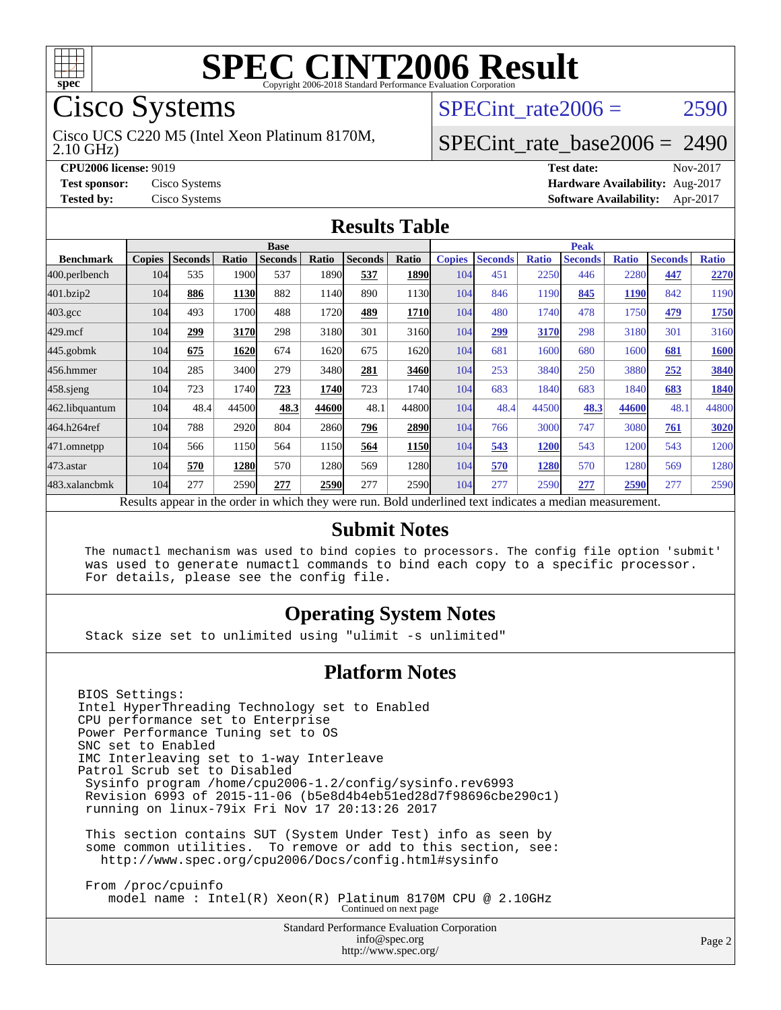

# **[SPEC CINT2006 Result](http://www.spec.org/auto/cpu2006/Docs/result-fields.html#SPECCINT2006Result)**

# Cisco Systems

2.10 GHz) Cisco UCS C220 M5 (Intel Xeon Platinum 8170M, SPECint rate $2006 = 2590$ 

# [SPECint\\_rate\\_base2006 =](http://www.spec.org/auto/cpu2006/Docs/result-fields.html#SPECintratebase2006) 2490

**[CPU2006 license:](http://www.spec.org/auto/cpu2006/Docs/result-fields.html#CPU2006license)** 9019 **[Test date:](http://www.spec.org/auto/cpu2006/Docs/result-fields.html#Testdate)** Nov-2017 **[Test sponsor:](http://www.spec.org/auto/cpu2006/Docs/result-fields.html#Testsponsor)** Cisco Systems **[Hardware Availability:](http://www.spec.org/auto/cpu2006/Docs/result-fields.html#HardwareAvailability)** Aug-2017 **[Tested by:](http://www.spec.org/auto/cpu2006/Docs/result-fields.html#Testedby)** Cisco Systems **[Software Availability:](http://www.spec.org/auto/cpu2006/Docs/result-fields.html#SoftwareAvailability)** Apr-2017

#### **[Results Table](http://www.spec.org/auto/cpu2006/Docs/result-fields.html#ResultsTable)**

|                                                                                                          | <b>Base</b>   |                |              |                |       |                | <b>Peak</b> |               |                |              |                |              |                |              |
|----------------------------------------------------------------------------------------------------------|---------------|----------------|--------------|----------------|-------|----------------|-------------|---------------|----------------|--------------|----------------|--------------|----------------|--------------|
| <b>Benchmark</b>                                                                                         | <b>Copies</b> | <b>Seconds</b> | <b>Ratio</b> | <b>Seconds</b> | Ratio | <b>Seconds</b> | Ratio       | <b>Copies</b> | <b>Seconds</b> | <b>Ratio</b> | <b>Seconds</b> | <b>Ratio</b> | <b>Seconds</b> | <b>Ratio</b> |
| 400.perlbench                                                                                            | 104           | 535            | 1900         | 537            | 1890  | 537            | 1890        | 104           | 451            | 2250         | 446            | 2280         | 447            | 2270         |
| 401.bzip2                                                                                                | 104           | 886            | 1130         | 882            | 1140  | 890            | 1130        | 104           | 846            | 1190         | 845            | <b>1190</b>  | 842            | 1190         |
| $403.\text{gcc}$                                                                                         | 104           | 493            | 1700         | 488            | 1720  | 489            | 1710        | 104           | 480            | 1740         | 478            | 1750         | 479            | 1750         |
| $429$ .mcf                                                                                               | 104           | 299            | 3170         | 298            | 3180  | 301            | 3160        | 104           | 299            | 3170         | 298            | 3180         | 301            | 3160         |
| $445$ .gobmk                                                                                             | 104           | 675            | 1620         | 674            | 1620  | 675            | 16201       | 104           | 681            | 1600         | 680            | 1600         | 681            | <b>1600</b>  |
| 456.hmmer                                                                                                | 104           | 285            | 3400         | 279            | 3480  | 281            | 3460        | 104           | 253            | 3840         | 250            | 3880         | 252            | 3840         |
| $458$ .sjeng                                                                                             | 104           | 723            | 1740         | 723            | 1740  | 723            | 1740        | 104           | 683            | 1840         | 683            | 1840         | 683            | 1840         |
| 462.libquantum                                                                                           | 104           | 48.4           | 44500        | 48.3           | 44600 | 48.1           | 44800       | 104           | 48.4           | 44500        | 48.3           | 44600        | 48.1           | 44800        |
| 464.h264ref                                                                                              | 104           | 788            | 2920         | 804            | 2860  | 796            | 2890        | 104           | 766            | 3000         | 747            | 3080         | 761            | 3020         |
| 471.omnetpp                                                                                              | 104           | 566            | 1150         | 564            | 1150  | 564            | 1150        | 104           | 543            | <b>1200</b>  | 543            | 1200         | 543            | 1200         |
| $473$ . astar                                                                                            | 104           | 570            | 1280         | 570            | 1280  | 569            | 1280        | 104           | 570            | 1280         | 570            | 1280         | 569            | 1280         |
| 483.xalancbmk                                                                                            | 104           | 277            | 2590         | 277            | 2590  | 277            | 2590        | 104           | 277            | 2590         | 277            | 2590         | 277            | 2590         |
| Decute conceal in the order in which they were my<br>Dold underlined text indicates a madien massurement |               |                |              |                |       |                |             |               |                |              |                |              |                |              |

Results appear in the [order in which they were run.](http://www.spec.org/auto/cpu2006/Docs/result-fields.html#RunOrder) Bold underlined text [indicates a median measurement.](http://www.spec.org/auto/cpu2006/Docs/result-fields.html#Median)

#### **[Submit Notes](http://www.spec.org/auto/cpu2006/Docs/result-fields.html#SubmitNotes)**

 The numactl mechanism was used to bind copies to processors. The config file option 'submit' was used to generate numactl commands to bind each copy to a specific processor. For details, please see the config file.

### **[Operating System Notes](http://www.spec.org/auto/cpu2006/Docs/result-fields.html#OperatingSystemNotes)**

Stack size set to unlimited using "ulimit -s unlimited"

#### **[Platform Notes](http://www.spec.org/auto/cpu2006/Docs/result-fields.html#PlatformNotes)**

BIOS Settings: Intel HyperThreading Technology set to Enabled CPU performance set to Enterprise Power Performance Tuning set to OS SNC set to Enabled IMC Interleaving set to 1-way Interleave Patrol Scrub set to Disabled Sysinfo program /home/cpu2006-1.2/config/sysinfo.rev6993 Revision 6993 of 2015-11-06 (b5e8d4b4eb51ed28d7f98696cbe290c1) running on linux-79ix Fri Nov 17 20:13:26 2017 This section contains SUT (System Under Test) info as seen by some common utilities. To remove or add to this section, see: <http://www.spec.org/cpu2006/Docs/config.html#sysinfo> From /proc/cpuinfo model name : Intel(R) Xeon(R) Platinum 8170M CPU @ 2.10GHz

> Standard Performance Evaluation Corporation [info@spec.org](mailto:info@spec.org) <http://www.spec.org/>

Continued on next page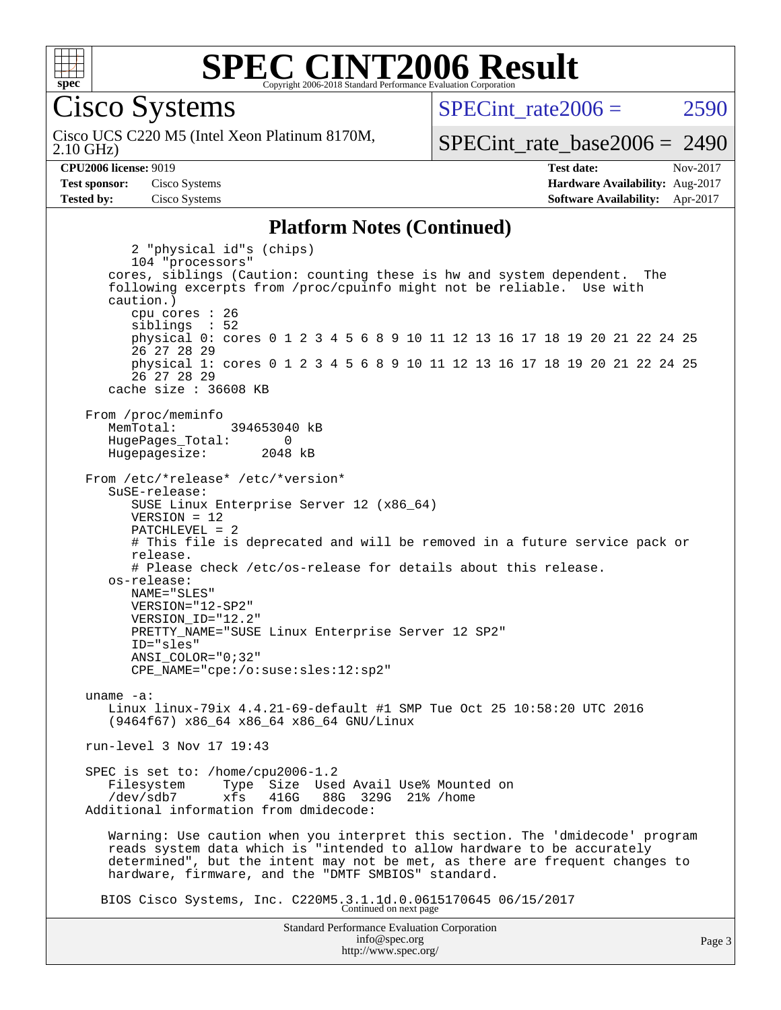

#### **[SPEC CINT2006 Result](http://www.spec.org/auto/cpu2006/Docs/result-fields.html#SPECCINT2006Result)** Copyright 2006-2018 Standard Performance Evaluation Corporation

Cisco Systems

2.10 GHz) Cisco UCS C220 M5 (Intel Xeon Platinum 8170M, SPECint rate $2006 = 2590$ 

[SPECint\\_rate\\_base2006 =](http://www.spec.org/auto/cpu2006/Docs/result-fields.html#SPECintratebase2006) 2490

**[CPU2006 license:](http://www.spec.org/auto/cpu2006/Docs/result-fields.html#CPU2006license)** 9019 **[Test date:](http://www.spec.org/auto/cpu2006/Docs/result-fields.html#Testdate)** Nov-2017 **[Test sponsor:](http://www.spec.org/auto/cpu2006/Docs/result-fields.html#Testsponsor)** Cisco Systems **[Hardware Availability:](http://www.spec.org/auto/cpu2006/Docs/result-fields.html#HardwareAvailability)** Aug-2017 **[Tested by:](http://www.spec.org/auto/cpu2006/Docs/result-fields.html#Testedby)** Cisco Systems **[Software Availability:](http://www.spec.org/auto/cpu2006/Docs/result-fields.html#SoftwareAvailability)** Apr-2017

#### **[Platform Notes \(Continued\)](http://www.spec.org/auto/cpu2006/Docs/result-fields.html#PlatformNotes)**

Standard Performance Evaluation Corporation [info@spec.org](mailto:info@spec.org) 2 "physical id"s (chips) 104 "processors" cores, siblings (Caution: counting these is hw and system dependent. The following excerpts from /proc/cpuinfo might not be reliable. Use with caution.) cpu cores : 26 siblings : 52 physical 0: cores 0 1 2 3 4 5 6 8 9 10 11 12 13 16 17 18 19 20 21 22 24 25 26 27 28 29 physical 1: cores 0 1 2 3 4 5 6 8 9 10 11 12 13 16 17 18 19 20 21 22 24 25 26 27 28 29 cache size : 36608 KB From /proc/meminfo MemTotal: 394653040 kB HugePages\_Total: 0<br>Hugepagesize: 2048 kB Hugepagesize: From /etc/\*release\* /etc/\*version\* SuSE-release: SUSE Linux Enterprise Server 12 (x86\_64) VERSION = 12 PATCHLEVEL = 2 # This file is deprecated and will be removed in a future service pack or release. # Please check /etc/os-release for details about this release. os-release: NAME="SLES" VERSION="12-SP2" VERSION\_ID="12.2" PRETTY\_NAME="SUSE Linux Enterprise Server 12 SP2" ID="sles" ANSI\_COLOR="0;32" CPE\_NAME="cpe:/o:suse:sles:12:sp2" uname -a: Linux linux-79ix 4.4.21-69-default #1 SMP Tue Oct 25 10:58:20 UTC 2016 (9464f67) x86\_64 x86\_64 x86\_64 GNU/Linux run-level 3 Nov 17 19:43 SPEC is set to: /home/cpu2006-1.2 Filesystem Type Size Used Avail Use% Mounted on 88G 329G 21% /home Additional information from dmidecode: Warning: Use caution when you interpret this section. The 'dmidecode' program reads system data which is "intended to allow hardware to be accurately determined", but the intent may not be met, as there are frequent changes to hardware, firmware, and the "DMTF SMBIOS" standard. BIOS Cisco Systems, Inc. C220M5.3.1.1d.0.0615170645 06/15/2017 Continued on next page

<http://www.spec.org/>

Page 3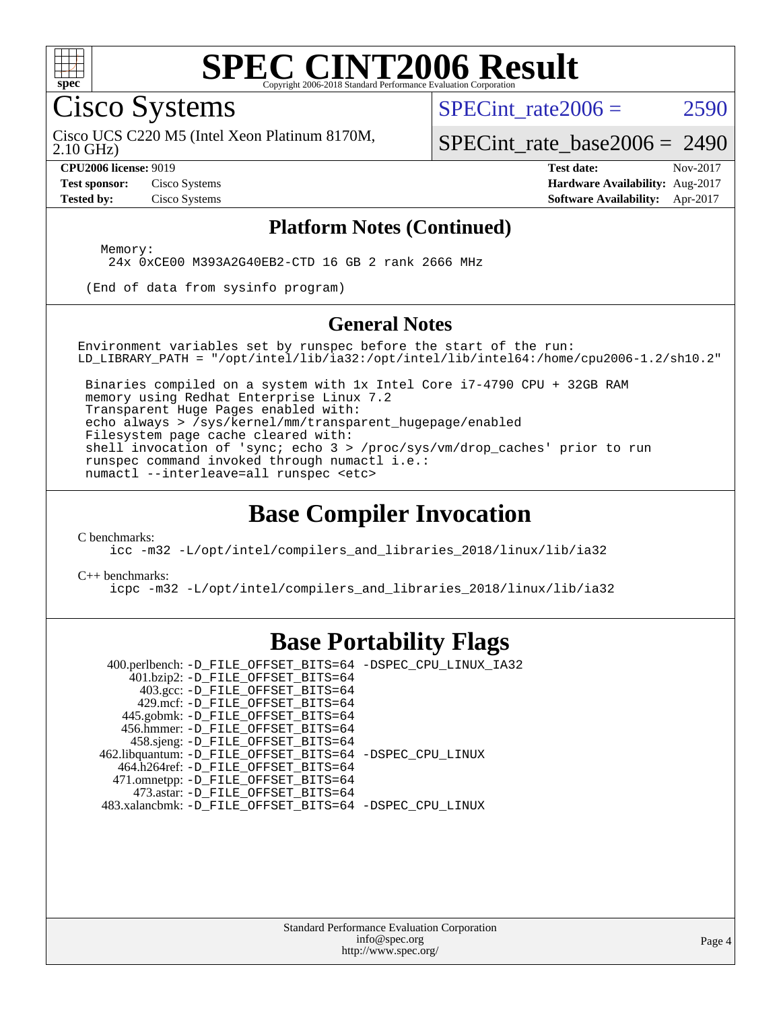

#### **[SPEC CINT2006 Result](http://www.spec.org/auto/cpu2006/Docs/result-fields.html#SPECCINT2006Result)** Copyright 2006-2018 Standard Performance Evaluation C

Cisco Systems

SPECint rate $2006 = 2590$ 

2.10 GHz) Cisco UCS C220 M5 (Intel Xeon Platinum 8170M,

[SPECint\\_rate\\_base2006 =](http://www.spec.org/auto/cpu2006/Docs/result-fields.html#SPECintratebase2006) 2490

**[CPU2006 license:](http://www.spec.org/auto/cpu2006/Docs/result-fields.html#CPU2006license)** 9019 **[Test date:](http://www.spec.org/auto/cpu2006/Docs/result-fields.html#Testdate)** Nov-2017 **[Test sponsor:](http://www.spec.org/auto/cpu2006/Docs/result-fields.html#Testsponsor)** Cisco Systems **[Hardware Availability:](http://www.spec.org/auto/cpu2006/Docs/result-fields.html#HardwareAvailability)** Aug-2017 **[Tested by:](http://www.spec.org/auto/cpu2006/Docs/result-fields.html#Testedby)** Cisco Systems **[Software Availability:](http://www.spec.org/auto/cpu2006/Docs/result-fields.html#SoftwareAvailability)** Apr-2017

#### **[Platform Notes \(Continued\)](http://www.spec.org/auto/cpu2006/Docs/result-fields.html#PlatformNotes)**

Memory:

24x 0xCE00 M393A2G40EB2-CTD 16 GB 2 rank 2666 MHz

(End of data from sysinfo program)

#### **[General Notes](http://www.spec.org/auto/cpu2006/Docs/result-fields.html#GeneralNotes)**

Environment variables set by runspec before the start of the run: LD\_LIBRARY\_PATH = "/opt/intel/lib/ia32:/opt/intel/lib/intel64:/home/cpu2006-1.2/sh10.2"

 Binaries compiled on a system with 1x Intel Core i7-4790 CPU + 32GB RAM memory using Redhat Enterprise Linux 7.2 Transparent Huge Pages enabled with: echo always > /sys/kernel/mm/transparent\_hugepage/enabled Filesystem page cache cleared with: shell invocation of 'sync; echo 3 > /proc/sys/vm/drop\_caches' prior to run runspec command invoked through numactl i.e.: numactl --interleave=all runspec <etc>

## **[Base Compiler Invocation](http://www.spec.org/auto/cpu2006/Docs/result-fields.html#BaseCompilerInvocation)**

[C benchmarks](http://www.spec.org/auto/cpu2006/Docs/result-fields.html#Cbenchmarks):

[icc -m32 -L/opt/intel/compilers\\_and\\_libraries\\_2018/linux/lib/ia32](http://www.spec.org/cpu2006/results/res2017q4/cpu2006-20171128-50909.flags.html#user_CCbase_intel_icc_04f59596a08f358effe90d044cbb175f)

[C++ benchmarks:](http://www.spec.org/auto/cpu2006/Docs/result-fields.html#CXXbenchmarks)

[icpc -m32 -L/opt/intel/compilers\\_and\\_libraries\\_2018/linux/lib/ia32](http://www.spec.org/cpu2006/results/res2017q4/cpu2006-20171128-50909.flags.html#user_CXXbase_intel_icpc_6c160d62a51f1e5feef3a5e8eb2cd87e)

# **[Base Portability Flags](http://www.spec.org/auto/cpu2006/Docs/result-fields.html#BasePortabilityFlags)**

 400.perlbench: [-D\\_FILE\\_OFFSET\\_BITS=64](http://www.spec.org/cpu2006/results/res2017q4/cpu2006-20171128-50909.flags.html#user_basePORTABILITY400_perlbench_file_offset_bits_64_438cf9856305ebd76870a2c6dc2689ab) [-DSPEC\\_CPU\\_LINUX\\_IA32](http://www.spec.org/cpu2006/results/res2017q4/cpu2006-20171128-50909.flags.html#b400.perlbench_baseCPORTABILITY_DSPEC_CPU_LINUX_IA32) 401.bzip2: [-D\\_FILE\\_OFFSET\\_BITS=64](http://www.spec.org/cpu2006/results/res2017q4/cpu2006-20171128-50909.flags.html#user_basePORTABILITY401_bzip2_file_offset_bits_64_438cf9856305ebd76870a2c6dc2689ab) 403.gcc: [-D\\_FILE\\_OFFSET\\_BITS=64](http://www.spec.org/cpu2006/results/res2017q4/cpu2006-20171128-50909.flags.html#user_basePORTABILITY403_gcc_file_offset_bits_64_438cf9856305ebd76870a2c6dc2689ab) 429.mcf: [-D\\_FILE\\_OFFSET\\_BITS=64](http://www.spec.org/cpu2006/results/res2017q4/cpu2006-20171128-50909.flags.html#user_basePORTABILITY429_mcf_file_offset_bits_64_438cf9856305ebd76870a2c6dc2689ab) 445.gobmk: [-D\\_FILE\\_OFFSET\\_BITS=64](http://www.spec.org/cpu2006/results/res2017q4/cpu2006-20171128-50909.flags.html#user_basePORTABILITY445_gobmk_file_offset_bits_64_438cf9856305ebd76870a2c6dc2689ab) 456.hmmer: [-D\\_FILE\\_OFFSET\\_BITS=64](http://www.spec.org/cpu2006/results/res2017q4/cpu2006-20171128-50909.flags.html#user_basePORTABILITY456_hmmer_file_offset_bits_64_438cf9856305ebd76870a2c6dc2689ab) 458.sjeng: [-D\\_FILE\\_OFFSET\\_BITS=64](http://www.spec.org/cpu2006/results/res2017q4/cpu2006-20171128-50909.flags.html#user_basePORTABILITY458_sjeng_file_offset_bits_64_438cf9856305ebd76870a2c6dc2689ab) 462.libquantum: [-D\\_FILE\\_OFFSET\\_BITS=64](http://www.spec.org/cpu2006/results/res2017q4/cpu2006-20171128-50909.flags.html#user_basePORTABILITY462_libquantum_file_offset_bits_64_438cf9856305ebd76870a2c6dc2689ab) [-DSPEC\\_CPU\\_LINUX](http://www.spec.org/cpu2006/results/res2017q4/cpu2006-20171128-50909.flags.html#b462.libquantum_baseCPORTABILITY_DSPEC_CPU_LINUX) 464.h264ref: [-D\\_FILE\\_OFFSET\\_BITS=64](http://www.spec.org/cpu2006/results/res2017q4/cpu2006-20171128-50909.flags.html#user_basePORTABILITY464_h264ref_file_offset_bits_64_438cf9856305ebd76870a2c6dc2689ab) 471.omnetpp: [-D\\_FILE\\_OFFSET\\_BITS=64](http://www.spec.org/cpu2006/results/res2017q4/cpu2006-20171128-50909.flags.html#user_basePORTABILITY471_omnetpp_file_offset_bits_64_438cf9856305ebd76870a2c6dc2689ab) 473.astar: [-D\\_FILE\\_OFFSET\\_BITS=64](http://www.spec.org/cpu2006/results/res2017q4/cpu2006-20171128-50909.flags.html#user_basePORTABILITY473_astar_file_offset_bits_64_438cf9856305ebd76870a2c6dc2689ab) 483.xalancbmk: [-D\\_FILE\\_OFFSET\\_BITS=64](http://www.spec.org/cpu2006/results/res2017q4/cpu2006-20171128-50909.flags.html#user_basePORTABILITY483_xalancbmk_file_offset_bits_64_438cf9856305ebd76870a2c6dc2689ab) [-DSPEC\\_CPU\\_LINUX](http://www.spec.org/cpu2006/results/res2017q4/cpu2006-20171128-50909.flags.html#b483.xalancbmk_baseCXXPORTABILITY_DSPEC_CPU_LINUX)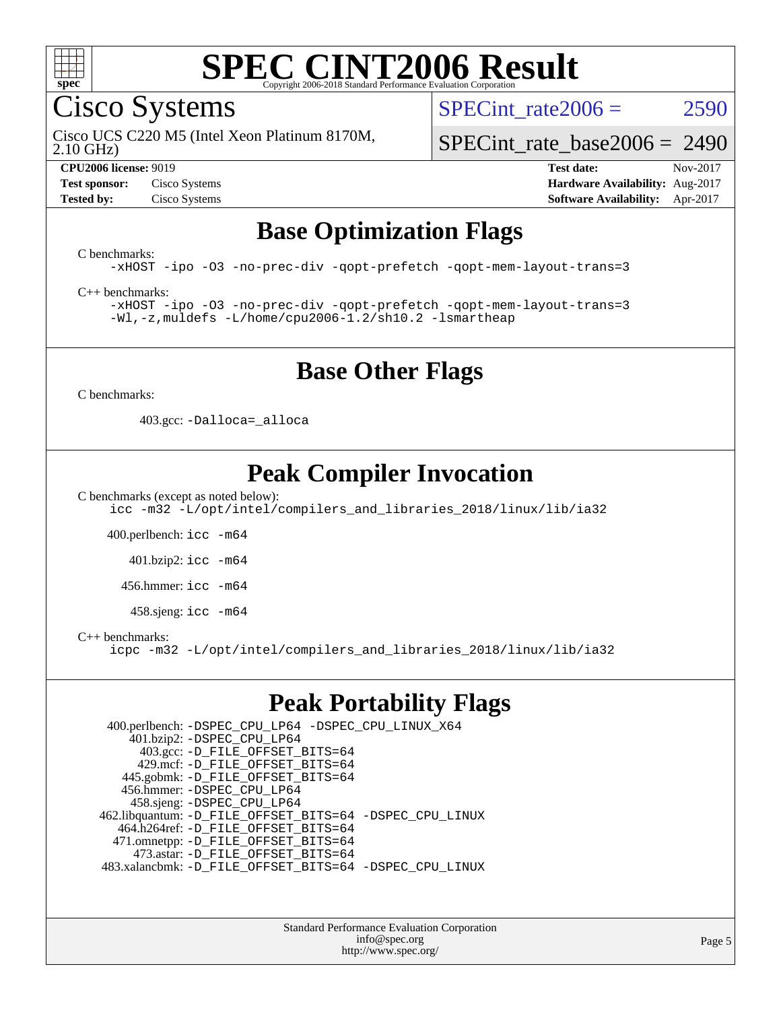

#### **[SPEC CINT2006 Result](http://www.spec.org/auto/cpu2006/Docs/result-fields.html#SPECCINT2006Result)** Copyright 2006-2018 Standard Performance Evaluation C

Cisco Systems

SPECint rate $2006 = 2590$ 

2.10 GHz) Cisco UCS C220 M5 (Intel Xeon Platinum 8170M,

[SPECint\\_rate\\_base2006 =](http://www.spec.org/auto/cpu2006/Docs/result-fields.html#SPECintratebase2006) 2490

**[CPU2006 license:](http://www.spec.org/auto/cpu2006/Docs/result-fields.html#CPU2006license)** 9019 **[Test date:](http://www.spec.org/auto/cpu2006/Docs/result-fields.html#Testdate)** Nov-2017 **[Test sponsor:](http://www.spec.org/auto/cpu2006/Docs/result-fields.html#Testsponsor)** Cisco Systems **[Hardware Availability:](http://www.spec.org/auto/cpu2006/Docs/result-fields.html#HardwareAvailability)** Aug-2017 **[Tested by:](http://www.spec.org/auto/cpu2006/Docs/result-fields.html#Testedby)** Cisco Systems **[Software Availability:](http://www.spec.org/auto/cpu2006/Docs/result-fields.html#SoftwareAvailability)** Apr-2017

## **[Base Optimization Flags](http://www.spec.org/auto/cpu2006/Docs/result-fields.html#BaseOptimizationFlags)**

[C benchmarks](http://www.spec.org/auto/cpu2006/Docs/result-fields.html#Cbenchmarks):

[-xHOST](http://www.spec.org/cpu2006/results/res2017q4/cpu2006-20171128-50909.flags.html#user_CCbase_f-xHost_e62ac3e528d1159ebbc7507f5617393f) [-ipo](http://www.spec.org/cpu2006/results/res2017q4/cpu2006-20171128-50909.flags.html#user_CCbase_f-ipo) [-O3](http://www.spec.org/cpu2006/results/res2017q4/cpu2006-20171128-50909.flags.html#user_CCbase_f-O3) [-no-prec-div](http://www.spec.org/cpu2006/results/res2017q4/cpu2006-20171128-50909.flags.html#user_CCbase_f-no-prec-div) [-qopt-prefetch](http://www.spec.org/cpu2006/results/res2017q4/cpu2006-20171128-50909.flags.html#user_CCbase_f-qopt-prefetch) [-qopt-mem-layout-trans=3](http://www.spec.org/cpu2006/results/res2017q4/cpu2006-20171128-50909.flags.html#user_CCbase_f-qopt-mem-layout-trans_170f5be61cd2cedc9b54468c59262d5d)

[C++ benchmarks:](http://www.spec.org/auto/cpu2006/Docs/result-fields.html#CXXbenchmarks)

[-xHOST](http://www.spec.org/cpu2006/results/res2017q4/cpu2006-20171128-50909.flags.html#user_CXXbase_f-xHost_e62ac3e528d1159ebbc7507f5617393f) [-ipo](http://www.spec.org/cpu2006/results/res2017q4/cpu2006-20171128-50909.flags.html#user_CXXbase_f-ipo) [-O3](http://www.spec.org/cpu2006/results/res2017q4/cpu2006-20171128-50909.flags.html#user_CXXbase_f-O3) [-no-prec-div](http://www.spec.org/cpu2006/results/res2017q4/cpu2006-20171128-50909.flags.html#user_CXXbase_f-no-prec-div) [-qopt-prefetch](http://www.spec.org/cpu2006/results/res2017q4/cpu2006-20171128-50909.flags.html#user_CXXbase_f-qopt-prefetch) [-qopt-mem-layout-trans=3](http://www.spec.org/cpu2006/results/res2017q4/cpu2006-20171128-50909.flags.html#user_CXXbase_f-qopt-mem-layout-trans_170f5be61cd2cedc9b54468c59262d5d) [-Wl,-z,muldefs](http://www.spec.org/cpu2006/results/res2017q4/cpu2006-20171128-50909.flags.html#user_CXXbase_link_force_multiple1_74079c344b956b9658436fd1b6dd3a8a) [-L/home/cpu2006-1.2/sh10.2 -lsmartheap](http://www.spec.org/cpu2006/results/res2017q4/cpu2006-20171128-50909.flags.html#user_CXXbase_SmartHeap_5706a66a2f6a219cbb238ac92a73101d)

# **[Base Other Flags](http://www.spec.org/auto/cpu2006/Docs/result-fields.html#BaseOtherFlags)**

[C benchmarks](http://www.spec.org/auto/cpu2006/Docs/result-fields.html#Cbenchmarks):

403.gcc: [-Dalloca=\\_alloca](http://www.spec.org/cpu2006/results/res2017q4/cpu2006-20171128-50909.flags.html#b403.gcc_baseEXTRA_CFLAGS_Dalloca_be3056838c12de2578596ca5467af7f3)

# **[Peak Compiler Invocation](http://www.spec.org/auto/cpu2006/Docs/result-fields.html#PeakCompilerInvocation)**

[C benchmarks \(except as noted below\)](http://www.spec.org/auto/cpu2006/Docs/result-fields.html#Cbenchmarksexceptasnotedbelow):

[icc -m32 -L/opt/intel/compilers\\_and\\_libraries\\_2018/linux/lib/ia32](http://www.spec.org/cpu2006/results/res2017q4/cpu2006-20171128-50909.flags.html#user_CCpeak_intel_icc_04f59596a08f358effe90d044cbb175f)

400.perlbench: [icc -m64](http://www.spec.org/cpu2006/results/res2017q4/cpu2006-20171128-50909.flags.html#user_peakCCLD400_perlbench_intel_icc_64bit_bda6cc9af1fdbb0edc3795bac97ada53)

401.bzip2: [icc -m64](http://www.spec.org/cpu2006/results/res2017q4/cpu2006-20171128-50909.flags.html#user_peakCCLD401_bzip2_intel_icc_64bit_bda6cc9af1fdbb0edc3795bac97ada53)

456.hmmer: [icc -m64](http://www.spec.org/cpu2006/results/res2017q4/cpu2006-20171128-50909.flags.html#user_peakCCLD456_hmmer_intel_icc_64bit_bda6cc9af1fdbb0edc3795bac97ada53)

 $458 \text{.}$ sjeng: icc  $-\text{m64}$ 

[C++ benchmarks:](http://www.spec.org/auto/cpu2006/Docs/result-fields.html#CXXbenchmarks)

[icpc -m32 -L/opt/intel/compilers\\_and\\_libraries\\_2018/linux/lib/ia32](http://www.spec.org/cpu2006/results/res2017q4/cpu2006-20171128-50909.flags.html#user_CXXpeak_intel_icpc_6c160d62a51f1e5feef3a5e8eb2cd87e)

# **[Peak Portability Flags](http://www.spec.org/auto/cpu2006/Docs/result-fields.html#PeakPortabilityFlags)**

 400.perlbench: [-DSPEC\\_CPU\\_LP64](http://www.spec.org/cpu2006/results/res2017q4/cpu2006-20171128-50909.flags.html#b400.perlbench_peakCPORTABILITY_DSPEC_CPU_LP64) [-DSPEC\\_CPU\\_LINUX\\_X64](http://www.spec.org/cpu2006/results/res2017q4/cpu2006-20171128-50909.flags.html#b400.perlbench_peakCPORTABILITY_DSPEC_CPU_LINUX_X64) 401.bzip2: [-DSPEC\\_CPU\\_LP64](http://www.spec.org/cpu2006/results/res2017q4/cpu2006-20171128-50909.flags.html#suite_peakCPORTABILITY401_bzip2_DSPEC_CPU_LP64) 403.gcc: [-D\\_FILE\\_OFFSET\\_BITS=64](http://www.spec.org/cpu2006/results/res2017q4/cpu2006-20171128-50909.flags.html#user_peakPORTABILITY403_gcc_file_offset_bits_64_438cf9856305ebd76870a2c6dc2689ab) 429.mcf: [-D\\_FILE\\_OFFSET\\_BITS=64](http://www.spec.org/cpu2006/results/res2017q4/cpu2006-20171128-50909.flags.html#user_peakPORTABILITY429_mcf_file_offset_bits_64_438cf9856305ebd76870a2c6dc2689ab) 445.gobmk: [-D\\_FILE\\_OFFSET\\_BITS=64](http://www.spec.org/cpu2006/results/res2017q4/cpu2006-20171128-50909.flags.html#user_peakPORTABILITY445_gobmk_file_offset_bits_64_438cf9856305ebd76870a2c6dc2689ab) 456.hmmer: [-DSPEC\\_CPU\\_LP64](http://www.spec.org/cpu2006/results/res2017q4/cpu2006-20171128-50909.flags.html#suite_peakCPORTABILITY456_hmmer_DSPEC_CPU_LP64) 458.sjeng: [-DSPEC\\_CPU\\_LP64](http://www.spec.org/cpu2006/results/res2017q4/cpu2006-20171128-50909.flags.html#suite_peakCPORTABILITY458_sjeng_DSPEC_CPU_LP64) 462.libquantum: [-D\\_FILE\\_OFFSET\\_BITS=64](http://www.spec.org/cpu2006/results/res2017q4/cpu2006-20171128-50909.flags.html#user_peakPORTABILITY462_libquantum_file_offset_bits_64_438cf9856305ebd76870a2c6dc2689ab) [-DSPEC\\_CPU\\_LINUX](http://www.spec.org/cpu2006/results/res2017q4/cpu2006-20171128-50909.flags.html#b462.libquantum_peakCPORTABILITY_DSPEC_CPU_LINUX) 464.h264ref: [-D\\_FILE\\_OFFSET\\_BITS=64](http://www.spec.org/cpu2006/results/res2017q4/cpu2006-20171128-50909.flags.html#user_peakPORTABILITY464_h264ref_file_offset_bits_64_438cf9856305ebd76870a2c6dc2689ab) 471.omnetpp: [-D\\_FILE\\_OFFSET\\_BITS=64](http://www.spec.org/cpu2006/results/res2017q4/cpu2006-20171128-50909.flags.html#user_peakPORTABILITY471_omnetpp_file_offset_bits_64_438cf9856305ebd76870a2c6dc2689ab) 473.astar: [-D\\_FILE\\_OFFSET\\_BITS=64](http://www.spec.org/cpu2006/results/res2017q4/cpu2006-20171128-50909.flags.html#user_peakPORTABILITY473_astar_file_offset_bits_64_438cf9856305ebd76870a2c6dc2689ab) 483.xalancbmk: [-D\\_FILE\\_OFFSET\\_BITS=64](http://www.spec.org/cpu2006/results/res2017q4/cpu2006-20171128-50909.flags.html#user_peakPORTABILITY483_xalancbmk_file_offset_bits_64_438cf9856305ebd76870a2c6dc2689ab) [-DSPEC\\_CPU\\_LINUX](http://www.spec.org/cpu2006/results/res2017q4/cpu2006-20171128-50909.flags.html#b483.xalancbmk_peakCXXPORTABILITY_DSPEC_CPU_LINUX)

> Standard Performance Evaluation Corporation [info@spec.org](mailto:info@spec.org) <http://www.spec.org/>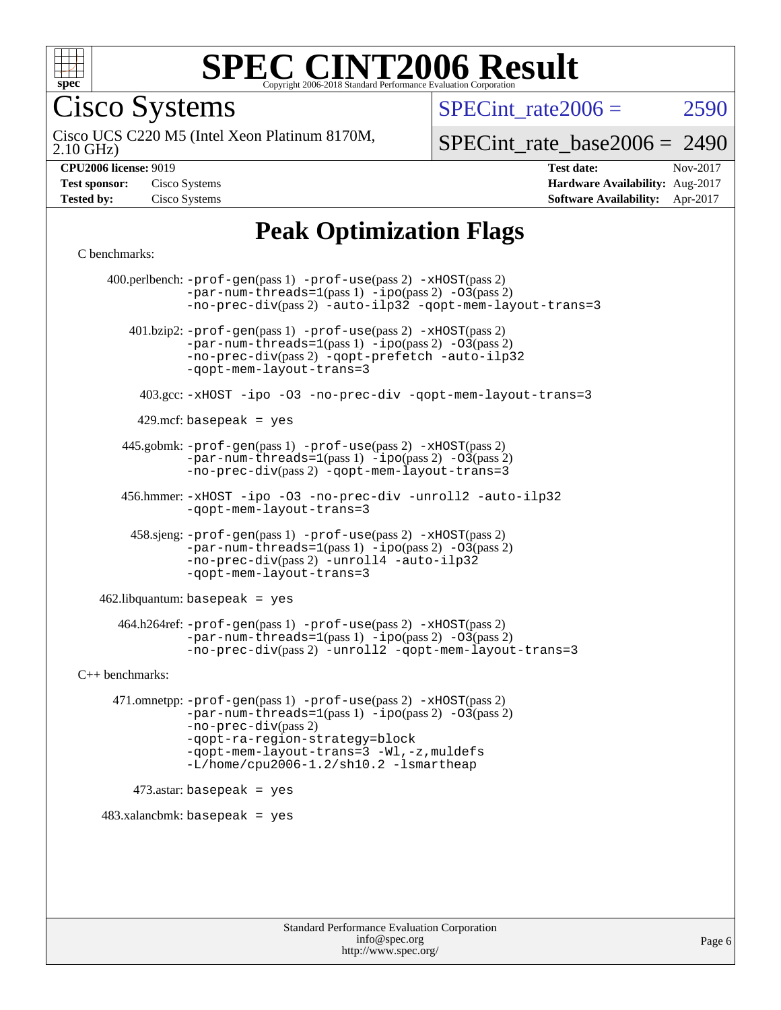

#### **[SPEC CINT2006 Result](http://www.spec.org/auto/cpu2006/Docs/result-fields.html#SPECCINT2006Result)** Copyright 2006-2018 Standard Performance Evaluation C

Cisco Systems

SPECint rate $2006 = 2590$ 

2.10 GHz) Cisco UCS C220 M5 (Intel Xeon Platinum 8170M,

[SPECint\\_rate\\_base2006 =](http://www.spec.org/auto/cpu2006/Docs/result-fields.html#SPECintratebase2006) 2490

| <b>Test sponsor:</b> | Cisco Systems |
|----------------------|---------------|
| <b>Tested by:</b>    | Cisco Systems |

**[CPU2006 license:](http://www.spec.org/auto/cpu2006/Docs/result-fields.html#CPU2006license)** 9019 **[Test date:](http://www.spec.org/auto/cpu2006/Docs/result-fields.html#Testdate)** Nov-2017 **[Hardware Availability:](http://www.spec.org/auto/cpu2006/Docs/result-fields.html#HardwareAvailability)** Aug-2017 **[Software Availability:](http://www.spec.org/auto/cpu2006/Docs/result-fields.html#SoftwareAvailability)** Apr-2017

# **[Peak Optimization Flags](http://www.spec.org/auto/cpu2006/Docs/result-fields.html#PeakOptimizationFlags)**

[C benchmarks](http://www.spec.org/auto/cpu2006/Docs/result-fields.html#Cbenchmarks):

 400.perlbench: [-prof-gen](http://www.spec.org/cpu2006/results/res2017q4/cpu2006-20171128-50909.flags.html#user_peakPASS1_CFLAGSPASS1_LDCFLAGS400_perlbench_prof_gen_e43856698f6ca7b7e442dfd80e94a8fc)(pass 1) [-prof-use](http://www.spec.org/cpu2006/results/res2017q4/cpu2006-20171128-50909.flags.html#user_peakPASS2_CFLAGSPASS2_LDCFLAGS400_perlbench_prof_use_bccf7792157ff70d64e32fe3e1250b55)(pass 2) [-xHOST](http://www.spec.org/cpu2006/results/res2017q4/cpu2006-20171128-50909.flags.html#user_peakPASS2_CFLAGSPASS2_LDCFLAGS400_perlbench_f-xHost_e62ac3e528d1159ebbc7507f5617393f)(pass 2)  $-par-num-threads=1(pass 1) -ipo(pass 2) -O3(pass 2)$  $-par-num-threads=1(pass 1) -ipo(pass 2) -O3(pass 2)$  $-par-num-threads=1(pass 1) -ipo(pass 2) -O3(pass 2)$  $-par-num-threads=1(pass 1) -ipo(pass 2) -O3(pass 2)$  $-par-num-threads=1(pass 1) -ipo(pass 2) -O3(pass 2)$  $-par-num-threads=1(pass 1) -ipo(pass 2) -O3(pass 2)$ [-no-prec-div](http://www.spec.org/cpu2006/results/res2017q4/cpu2006-20171128-50909.flags.html#user_peakPASS2_CFLAGSPASS2_LDCFLAGS400_perlbench_f-no-prec-div)(pass 2) [-auto-ilp32](http://www.spec.org/cpu2006/results/res2017q4/cpu2006-20171128-50909.flags.html#user_peakCOPTIMIZE400_perlbench_f-auto-ilp32) [-qopt-mem-layout-trans=3](http://www.spec.org/cpu2006/results/res2017q4/cpu2006-20171128-50909.flags.html#user_peakCOPTIMIZE400_perlbench_f-qopt-mem-layout-trans_170f5be61cd2cedc9b54468c59262d5d) 401.bzip2: [-prof-gen](http://www.spec.org/cpu2006/results/res2017q4/cpu2006-20171128-50909.flags.html#user_peakPASS1_CFLAGSPASS1_LDCFLAGS401_bzip2_prof_gen_e43856698f6ca7b7e442dfd80e94a8fc)(pass 1) [-prof-use](http://www.spec.org/cpu2006/results/res2017q4/cpu2006-20171128-50909.flags.html#user_peakPASS2_CFLAGSPASS2_LDCFLAGS401_bzip2_prof_use_bccf7792157ff70d64e32fe3e1250b55)(pass 2) [-xHOST](http://www.spec.org/cpu2006/results/res2017q4/cpu2006-20171128-50909.flags.html#user_peakPASS2_CFLAGSPASS2_LDCFLAGS401_bzip2_f-xHost_e62ac3e528d1159ebbc7507f5617393f)(pass 2)  $-par-num-threads=1(pass 1) -ipo(pass 2) -O3(pass 2)$  $-par-num-threads=1(pass 1) -ipo(pass 2) -O3(pass 2)$  $-par-num-threads=1(pass 1) -ipo(pass 2) -O3(pass 2)$  $-par-num-threads=1(pass 1) -ipo(pass 2) -O3(pass 2)$  $-par-num-threads=1(pass 1) -ipo(pass 2) -O3(pass 2)$  $-par-num-threads=1(pass 1) -ipo(pass 2) -O3(pass 2)$ [-no-prec-div](http://www.spec.org/cpu2006/results/res2017q4/cpu2006-20171128-50909.flags.html#user_peakPASS2_CFLAGSPASS2_LDCFLAGS401_bzip2_f-no-prec-div)(pass 2) [-qopt-prefetch](http://www.spec.org/cpu2006/results/res2017q4/cpu2006-20171128-50909.flags.html#user_peakCOPTIMIZE401_bzip2_f-qopt-prefetch) [-auto-ilp32](http://www.spec.org/cpu2006/results/res2017q4/cpu2006-20171128-50909.flags.html#user_peakCOPTIMIZE401_bzip2_f-auto-ilp32) [-qopt-mem-layout-trans=3](http://www.spec.org/cpu2006/results/res2017q4/cpu2006-20171128-50909.flags.html#user_peakCOPTIMIZE401_bzip2_f-qopt-mem-layout-trans_170f5be61cd2cedc9b54468c59262d5d) 403.gcc: [-xHOST](http://www.spec.org/cpu2006/results/res2017q4/cpu2006-20171128-50909.flags.html#user_peakOPTIMIZE403_gcc_f-xHost_e62ac3e528d1159ebbc7507f5617393f) [-ipo](http://www.spec.org/cpu2006/results/res2017q4/cpu2006-20171128-50909.flags.html#user_peakOPTIMIZE403_gcc_f-ipo) [-O3](http://www.spec.org/cpu2006/results/res2017q4/cpu2006-20171128-50909.flags.html#user_peakOPTIMIZE403_gcc_f-O3) [-no-prec-div](http://www.spec.org/cpu2006/results/res2017q4/cpu2006-20171128-50909.flags.html#user_peakOPTIMIZE403_gcc_f-no-prec-div) [-qopt-mem-layout-trans=3](http://www.spec.org/cpu2006/results/res2017q4/cpu2006-20171128-50909.flags.html#user_peakCOPTIMIZE403_gcc_f-qopt-mem-layout-trans_170f5be61cd2cedc9b54468c59262d5d)  $429$ .mcf: basepeak = yes 445.gobmk: [-prof-gen](http://www.spec.org/cpu2006/results/res2017q4/cpu2006-20171128-50909.flags.html#user_peakPASS1_CFLAGSPASS1_LDCFLAGS445_gobmk_prof_gen_e43856698f6ca7b7e442dfd80e94a8fc)(pass 1) [-prof-use](http://www.spec.org/cpu2006/results/res2017q4/cpu2006-20171128-50909.flags.html#user_peakPASS2_CFLAGSPASS2_LDCFLAGSPASS2_LDFLAGS445_gobmk_prof_use_bccf7792157ff70d64e32fe3e1250b55)(pass 2) [-xHOST](http://www.spec.org/cpu2006/results/res2017q4/cpu2006-20171128-50909.flags.html#user_peakPASS2_CFLAGSPASS2_LDCFLAGSPASS2_LDFLAGS445_gobmk_f-xHost_e62ac3e528d1159ebbc7507f5617393f)(pass 2)  $-par-num-threads=1(pass 1) -ipo(pass 2) -O3(pass 2)$  $-par-num-threads=1(pass 1) -ipo(pass 2) -O3(pass 2)$  $-par-num-threads=1(pass 1) -ipo(pass 2) -O3(pass 2)$  $-par-num-threads=1(pass 1) -ipo(pass 2) -O3(pass 2)$  $-par-num-threads=1(pass 1) -ipo(pass 2) -O3(pass 2)$  $-par-num-threads=1(pass 1) -ipo(pass 2) -O3(pass 2)$ [-no-prec-div](http://www.spec.org/cpu2006/results/res2017q4/cpu2006-20171128-50909.flags.html#user_peakPASS2_LDCFLAGS445_gobmk_f-no-prec-div)(pass 2) [-qopt-mem-layout-trans=3](http://www.spec.org/cpu2006/results/res2017q4/cpu2006-20171128-50909.flags.html#user_peakCOPTIMIZE445_gobmk_f-qopt-mem-layout-trans_170f5be61cd2cedc9b54468c59262d5d) 456.hmmer: [-xHOST](http://www.spec.org/cpu2006/results/res2017q4/cpu2006-20171128-50909.flags.html#user_peakOPTIMIZE456_hmmer_f-xHost_e62ac3e528d1159ebbc7507f5617393f) [-ipo](http://www.spec.org/cpu2006/results/res2017q4/cpu2006-20171128-50909.flags.html#user_peakOPTIMIZE456_hmmer_f-ipo) [-O3](http://www.spec.org/cpu2006/results/res2017q4/cpu2006-20171128-50909.flags.html#user_peakOPTIMIZE456_hmmer_f-O3) [-no-prec-div](http://www.spec.org/cpu2006/results/res2017q4/cpu2006-20171128-50909.flags.html#user_peakOPTIMIZE456_hmmer_f-no-prec-div) [-unroll2](http://www.spec.org/cpu2006/results/res2017q4/cpu2006-20171128-50909.flags.html#user_peakCOPTIMIZE456_hmmer_f-unroll_784dae83bebfb236979b41d2422d7ec2) [-auto-ilp32](http://www.spec.org/cpu2006/results/res2017q4/cpu2006-20171128-50909.flags.html#user_peakCOPTIMIZE456_hmmer_f-auto-ilp32) [-qopt-mem-layout-trans=3](http://www.spec.org/cpu2006/results/res2017q4/cpu2006-20171128-50909.flags.html#user_peakCOPTIMIZE456_hmmer_f-qopt-mem-layout-trans_170f5be61cd2cedc9b54468c59262d5d) 458.sjeng: [-prof-gen](http://www.spec.org/cpu2006/results/res2017q4/cpu2006-20171128-50909.flags.html#user_peakPASS1_CFLAGSPASS1_LDCFLAGS458_sjeng_prof_gen_e43856698f6ca7b7e442dfd80e94a8fc)(pass 1) [-prof-use](http://www.spec.org/cpu2006/results/res2017q4/cpu2006-20171128-50909.flags.html#user_peakPASS2_CFLAGSPASS2_LDCFLAGS458_sjeng_prof_use_bccf7792157ff70d64e32fe3e1250b55)(pass 2) [-xHOST](http://www.spec.org/cpu2006/results/res2017q4/cpu2006-20171128-50909.flags.html#user_peakPASS2_CFLAGSPASS2_LDCFLAGS458_sjeng_f-xHost_e62ac3e528d1159ebbc7507f5617393f)(pass 2)  $-par-num-threads=1(pass 1) -ipo(pass 2) -O3(pass 2)$  $-par-num-threads=1(pass 1) -ipo(pass 2) -O3(pass 2)$  $-par-num-threads=1(pass 1) -ipo(pass 2) -O3(pass 2)$  $-par-num-threads=1(pass 1) -ipo(pass 2) -O3(pass 2)$  $-par-num-threads=1(pass 1) -ipo(pass 2) -O3(pass 2)$  $-par-num-threads=1(pass 1) -ipo(pass 2) -O3(pass 2)$ [-no-prec-div](http://www.spec.org/cpu2006/results/res2017q4/cpu2006-20171128-50909.flags.html#user_peakPASS2_CFLAGSPASS2_LDCFLAGS458_sjeng_f-no-prec-div)(pass 2) [-unroll4](http://www.spec.org/cpu2006/results/res2017q4/cpu2006-20171128-50909.flags.html#user_peakCOPTIMIZE458_sjeng_f-unroll_4e5e4ed65b7fd20bdcd365bec371b81f) [-auto-ilp32](http://www.spec.org/cpu2006/results/res2017q4/cpu2006-20171128-50909.flags.html#user_peakCOPTIMIZE458_sjeng_f-auto-ilp32) [-qopt-mem-layout-trans=3](http://www.spec.org/cpu2006/results/res2017q4/cpu2006-20171128-50909.flags.html#user_peakCOPTIMIZE458_sjeng_f-qopt-mem-layout-trans_170f5be61cd2cedc9b54468c59262d5d)  $462$ .libquantum: basepeak = yes 464.h264ref: [-prof-gen](http://www.spec.org/cpu2006/results/res2017q4/cpu2006-20171128-50909.flags.html#user_peakPASS1_CFLAGSPASS1_LDCFLAGS464_h264ref_prof_gen_e43856698f6ca7b7e442dfd80e94a8fc)(pass 1) [-prof-use](http://www.spec.org/cpu2006/results/res2017q4/cpu2006-20171128-50909.flags.html#user_peakPASS2_CFLAGSPASS2_LDCFLAGS464_h264ref_prof_use_bccf7792157ff70d64e32fe3e1250b55)(pass 2) [-xHOST](http://www.spec.org/cpu2006/results/res2017q4/cpu2006-20171128-50909.flags.html#user_peakPASS2_CFLAGSPASS2_LDCFLAGS464_h264ref_f-xHost_e62ac3e528d1159ebbc7507f5617393f)(pass 2)  $-par-num-threads=1(pass 1) -ipo(pass 2) -O3(pass 2)$  $-par-num-threads=1(pass 1) -ipo(pass 2) -O3(pass 2)$  $-par-num-threads=1(pass 1) -ipo(pass 2) -O3(pass 2)$  $-par-num-threads=1(pass 1) -ipo(pass 2) -O3(pass 2)$  $-par-num-threads=1(pass 1) -ipo(pass 2) -O3(pass 2)$  $-par-num-threads=1(pass 1) -ipo(pass 2) -O3(pass 2)$ [-no-prec-div](http://www.spec.org/cpu2006/results/res2017q4/cpu2006-20171128-50909.flags.html#user_peakPASS2_CFLAGSPASS2_LDCFLAGS464_h264ref_f-no-prec-div)(pass 2) [-unroll2](http://www.spec.org/cpu2006/results/res2017q4/cpu2006-20171128-50909.flags.html#user_peakCOPTIMIZE464_h264ref_f-unroll_784dae83bebfb236979b41d2422d7ec2) [-qopt-mem-layout-trans=3](http://www.spec.org/cpu2006/results/res2017q4/cpu2006-20171128-50909.flags.html#user_peakCOPTIMIZE464_h264ref_f-qopt-mem-layout-trans_170f5be61cd2cedc9b54468c59262d5d) [C++ benchmarks:](http://www.spec.org/auto/cpu2006/Docs/result-fields.html#CXXbenchmarks) 471.omnetpp: [-prof-gen](http://www.spec.org/cpu2006/results/res2017q4/cpu2006-20171128-50909.flags.html#user_peakPASS1_CXXFLAGSPASS1_LDCXXFLAGS471_omnetpp_prof_gen_e43856698f6ca7b7e442dfd80e94a8fc)(pass 1) [-prof-use](http://www.spec.org/cpu2006/results/res2017q4/cpu2006-20171128-50909.flags.html#user_peakPASS2_CXXFLAGSPASS2_LDCXXFLAGS471_omnetpp_prof_use_bccf7792157ff70d64e32fe3e1250b55)(pass 2) [-xHOST](http://www.spec.org/cpu2006/results/res2017q4/cpu2006-20171128-50909.flags.html#user_peakPASS2_CXXFLAGSPASS2_LDCXXFLAGS471_omnetpp_f-xHost_e62ac3e528d1159ebbc7507f5617393f)(pass 2)  $-par-num-threads=1(pass 1) -ipo(pass 2) -O3(pass 2)$  $-par-num-threads=1(pass 1) -ipo(pass 2) -O3(pass 2)$  $-par-num-threads=1(pass 1) -ipo(pass 2) -O3(pass 2)$  $-par-num-threads=1(pass 1) -ipo(pass 2) -O3(pass 2)$  $-par-num-threads=1(pass 1) -ipo(pass 2) -O3(pass 2)$  $-par-num-threads=1(pass 1) -ipo(pass 2) -O3(pass 2)$ [-no-prec-div](http://www.spec.org/cpu2006/results/res2017q4/cpu2006-20171128-50909.flags.html#user_peakPASS2_CXXFLAGSPASS2_LDCXXFLAGS471_omnetpp_f-no-prec-div)(pass 2) [-qopt-ra-region-strategy=block](http://www.spec.org/cpu2006/results/res2017q4/cpu2006-20171128-50909.flags.html#user_peakCXXOPTIMIZE471_omnetpp_f-qopt-ra-region-strategy_430aa8f7c220cbde92ae827fa8d9be32)  [-qopt-mem-layout-trans=3](http://www.spec.org/cpu2006/results/res2017q4/cpu2006-20171128-50909.flags.html#user_peakCXXOPTIMIZE471_omnetpp_f-qopt-mem-layout-trans_170f5be61cd2cedc9b54468c59262d5d) [-Wl,-z,muldefs](http://www.spec.org/cpu2006/results/res2017q4/cpu2006-20171128-50909.flags.html#user_peakEXTRA_LDFLAGS471_omnetpp_link_force_multiple1_74079c344b956b9658436fd1b6dd3a8a) [-L/home/cpu2006-1.2/sh10.2 -lsmartheap](http://www.spec.org/cpu2006/results/res2017q4/cpu2006-20171128-50909.flags.html#user_peakEXTRA_LIBS471_omnetpp_SmartHeap_5706a66a2f6a219cbb238ac92a73101d)  $473$ .astar: basepeak = yes  $483.xalanchmk: basepeak = yes$